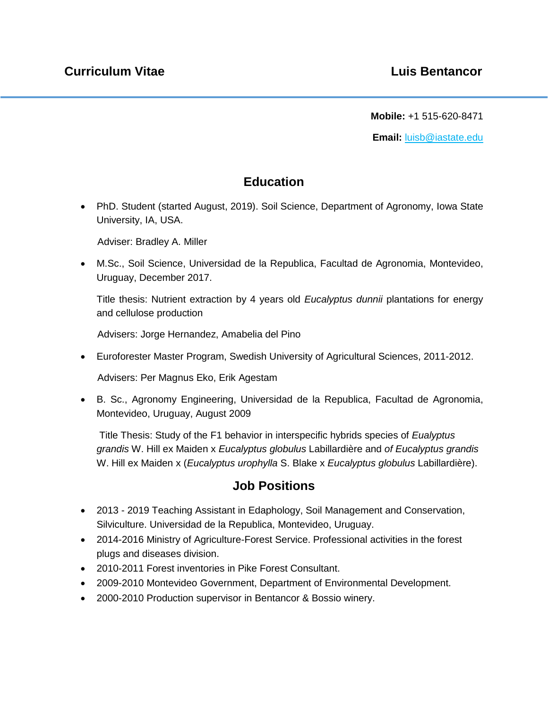**Mobile:** +1 515-620-8471

**Email:** luisb@iastate.edu

### **Education**

 PhD. Student (started August, 2019). Soil Science, Department of Agronomy, Iowa State University, IA, USA.

Adviser: Bradley A. Miller

 M.Sc., Soil Science, Universidad de la Republica, Facultad de Agronomia, Montevideo, Uruguay, December 2017.

Title thesis: Nutrient extraction by 4 years old *Eucalyptus dunnii* plantations for energy and cellulose production

Advisers: Jorge Hernandez, Amabelia del Pino

Euroforester Master Program, Swedish University of Agricultural Sciences, 2011-2012.

Advisers: Per Magnus Eko, Erik Agestam

 B. Sc., Agronomy Engineering, Universidad de la Republica, Facultad de Agronomia, Montevideo, Uruguay, August 2009

Title Thesis: Study of the F1 behavior in interspecific hybrids species of *Eualyptus grandis* W. Hill ex Maiden x *Eucalyptus globulus* Labillardière and *of Eucalyptus grandis* W. Hill ex Maiden x (*Eucalyptus urophylla* S. Blake x *Eucalyptus globulus* Labillardière).

#### **Job Positions**

- 2013 2019 Teaching Assistant in Edaphology, Soil Management and Conservation, Silviculture. Universidad de la Republica, Montevideo, Uruguay.
- 2014-2016 Ministry of Agriculture-Forest Service. Professional activities in the forest plugs and diseases division.
- 2010-2011 Forest inventories in Pike Forest Consultant.
- 2009-2010 Montevideo Government, Department of Environmental Development.
- 2000-2010 Production supervisor in Bentancor & Bossio winery.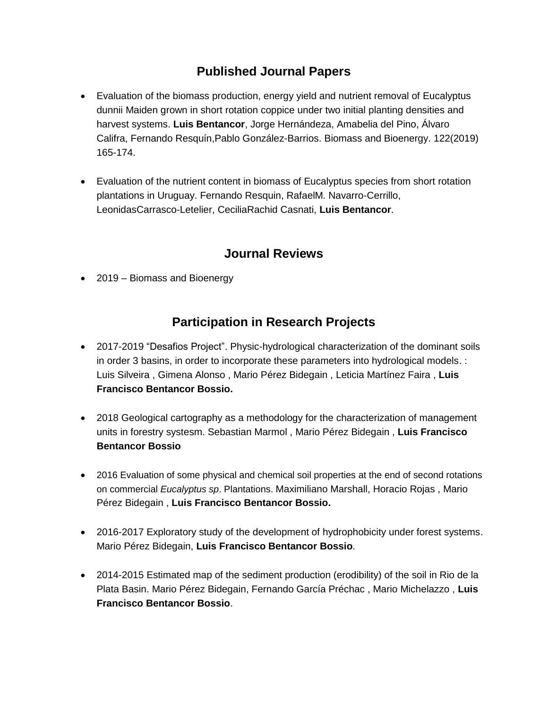### **Published Journal Papers**

- Evaluation of the biomass production, energy yield and nutrient removal of Eucalyptus dunnii Maiden grown in short rotation coppice under two initial planting densities and harvest systems. **Luis Bentancor**, Jorge Hernándeza, Amabelia del Pino, Álvaro Califra, Fernando Resquín,Pablo González-Barrios. Biomass and Bioenergy. 122(2019) 165-174.
- Evaluation of the nutrient content in biomass of Eucalyptus species from short rotation plantations in Uruguay. Fernando Resquin, RafaelM. Navarro-Cerrillo, LeonidasCarrasco-Letelier, CeciliaRachid Casnati, **Luis Bentancor**.

### **Journal Reviews**

• 2019 – Biomass and Bioenergy

### **Participation in Research Projects**

- 2017-2019 "Desafios Project". Physic-hydrological characterization of the dominant soils in order 3 basins, in order to incorporate these parameters into hydrological models. : Luis Silveira , Gimena Alonso , Mario Pérez Bidegain , Leticia Martínez Faira , **Luis Francisco Bentancor Bossio.**
- 2018 Geological cartography as a methodology for the characterization of management units in forestry systesm. Sebastian Marmol , Mario Pérez Bidegain , **Luis Francisco Bentancor Bossio**
- 2016 Evaluation of some physical and chemical soil properties at the end of second rotations on commercial *Eucalyptus sp*. Plantations. Maximiliano Marshall, Horacio Rojas , Mario Pérez Bidegain , **Luis Francisco Bentancor Bossio.**
- 2016-2017 Exploratory study of the development of hydrophobicity under forest systems. Mario Pérez Bidegain, **Luis Francisco Bentancor Bossio**.
- 2014-2015 Estimated map of the sediment production (erodibility) of the soil in Rio de la Plata Basin. Mario Pérez Bidegain, Fernando García Préchac , Mario Michelazzo , **Luis Francisco Bentancor Bossio**.